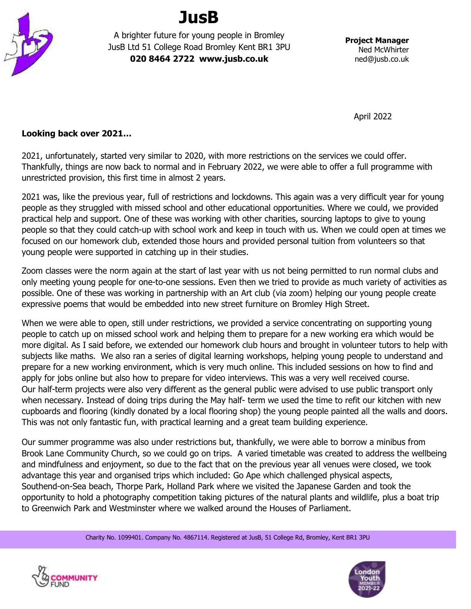

## **JusB**

A brighter future for young people in Bromley JusB Ltd 51 College Road Bromley Kent BR1 3PU **020 8464 2722 www.jusb.co.uk**

**Project Manager** Ned McWhirter ned@jusb.co.uk

April 2022

## **Looking back over 2021…**

2021, unfortunately, started very similar to 2020, with more restrictions on the services we could offer. Thankfully, things are now back to normal and in February 2022, we were able to offer a full programme with unrestricted provision, this first time in almost 2 years.

2021 was, like the previous year, full of restrictions and lockdowns. This again was a very difficult year for young people as they struggled with missed school and other educational opportunities. Where we could, we provided practical help and support. One of these was working with other charities, sourcing laptops to give to young people so that they could catch-up with school work and keep in touch with us. When we could open at times we focused on our homework club, extended those hours and provided personal tuition from volunteers so that young people were supported in catching up in their studies.

Zoom classes were the norm again at the start of last year with us not being permitted to run normal clubs and only meeting young people for one-to-one sessions. Even then we tried to provide as much variety of activities as possible. One of these was working in partnership with an Art club (via zoom) helping our young people create expressive poems that would be embedded into new street furniture on Bromley High Street.

When we were able to open, still under restrictions, we provided a service concentrating on supporting young people to catch up on missed school work and helping them to prepare for a new working era which would be more digital. As I said before, we extended our homework club hours and brought in volunteer tutors to help with subjects like maths. We also ran a series of digital learning workshops, helping young people to understand and prepare for a new working environment, which is very much online. This included sessions on how to find and apply for jobs online but also how to prepare for video interviews. This was a very well received course. Our half-term projects were also very different as the general public were advised to use public transport only when necessary. Instead of doing trips during the May half- term we used the time to refit our kitchen with new cupboards and flooring (kindly donated by a local flooring shop) the young people painted all the walls and doors. This was not only fantastic fun, with practical learning and a great team building experience.

Our summer programme was also under restrictions but, thankfully, we were able to borrow a minibus from Brook Lane Community Church, so we could go on trips. A varied timetable was created to address the wellbeing and mindfulness and enjoyment, so due to the fact that on the previous year all venues were closed, we took advantage this year and organised trips which included: Go Ape which challenged physical aspects, Southend-on-Sea beach, Thorpe Park, Holland Park where we visited the Japanese Garden and took the opportunity to hold a photography competition taking pictures of the natural plants and wildlife, plus a boat trip to Greenwich Park and Westminster where we walked around the Houses of Parliament.

Charity No. 1099401. Company No. 4867114. Registered at JusB, 51 College Rd, Bromley, Kent BR1 3PU